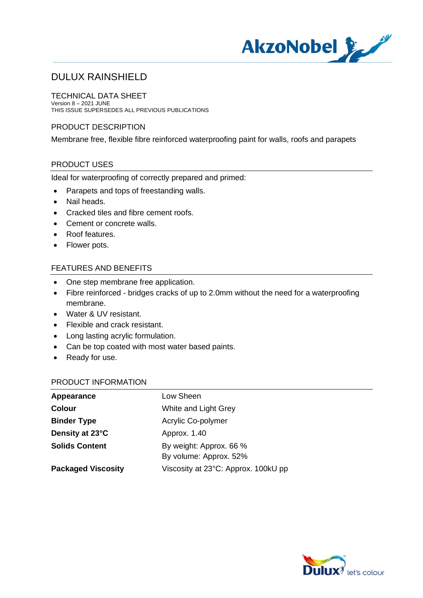

TECHNICAL DATA SHEET Version 8 – 2021 JUNE THIS ISSUE SUPERSEDES ALL PREVIOUS PUBLICATIONS

## PRODUCT DESCRIPTION

Membrane free, flexible fibre reinforced waterproofing paint for walls, roofs and parapets

# PRODUCT USES

Ideal for waterproofing of correctly prepared and primed:

- · Parapets and tops of freestanding walls.
- · Nail heads.
- · Cracked tiles and fibre cement roofs.
- · Cement or concrete walls.
- · Roof features.
- · Flower pots.

## FEATURES AND BENEFITS

- · One step membrane free application.
- · Fibre reinforced bridges cracks of up to 2.0mm without the need for a waterproofing membrane.
- · Water & UV resistant.
- Flexible and crack resistant.
- · Long lasting acrylic formulation.
- · Can be top coated with most water based paints.
- · Ready for use.

#### PRODUCT INFORMATION

| Appearance                | Low Sheen                                         |
|---------------------------|---------------------------------------------------|
| <b>Colour</b>             | White and Light Grey                              |
| <b>Binder Type</b>        | Acrylic Co-polymer                                |
| Density at 23°C           | Approx. 1.40                                      |
| <b>Solids Content</b>     | By weight: Approx. 66 %<br>By volume: Approx. 52% |
| <b>Packaged Viscosity</b> | Viscosity at 23°C: Approx. 100kU pp               |

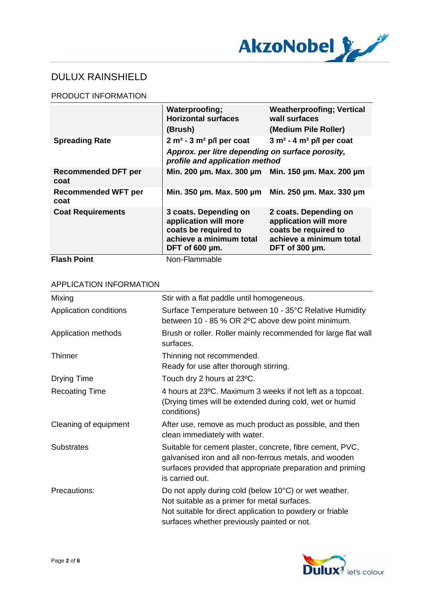

## PRODUCT INFORMATION

|                                    | Waterproofing;<br><b>Horizontal surfaces</b><br>(Brush)                                                             | <b>Weatherproofing; Vertical</b><br>wall surfaces<br>(Medium Pile Roller)                                                 |
|------------------------------------|---------------------------------------------------------------------------------------------------------------------|---------------------------------------------------------------------------------------------------------------------------|
| <b>Spreading Rate</b>              | $2 m2 - 3 m2 p/l$ per coat<br>Approx. per litre depending on surface porosity,<br>profile and application method    | $3 m2 - 4 m2 p/l$ per coat                                                                                                |
| <b>Recommended DFT per</b><br>coat | Min. 200 um. Max. 300 um Min. 150 um. Max. 200 um                                                                   |                                                                                                                           |
| <b>Recommended WFT per</b><br>coat | Min. 350 um. Max. 500 um Min. 250 um. Max. 330 um                                                                   |                                                                                                                           |
| <b>Coat Requirements</b>           | 3 coats. Depending on<br>application will more<br>coats be required to<br>achieve a minimum total<br>DFT of 600 µm. | 2 coats. Depending on<br>application will more<br>coats be required to<br>achieve a minimum total<br>DFT of $300 \mu m$ . |
| <b>Flash Point</b>                 | Non-Flammable                                                                                                       |                                                                                                                           |

| Mixing                 | Stir with a flat paddle until homogeneous.                                                                                                                                                                        |
|------------------------|-------------------------------------------------------------------------------------------------------------------------------------------------------------------------------------------------------------------|
| Application conditions | Surface Temperature between 10 - 35°C Relative Humidity<br>between 10 - 85 % OR 2°C above dew point minimum.                                                                                                      |
| Application methods    | Brush or roller. Roller mainly recommended for large flat wall<br>surfaces.                                                                                                                                       |
| <b>Thinner</b>         | Thinning not recommended.<br>Ready for use after thorough stirring.                                                                                                                                               |
| Drying Time            | Touch dry 2 hours at 23°C.                                                                                                                                                                                        |
| <b>Recoating Time</b>  | 4 hours at 23°C. Maximum 3 weeks if not left as a topcoat.<br>(Drying times will be extended during cold, wet or humid<br>conditions)                                                                             |
| Cleaning of equipment  | After use, remove as much product as possible, and then<br>clean immediately with water.                                                                                                                          |
| <b>Substrates</b>      | Suitable for cement plaster, concrete, fibre cement, PVC,<br>galvanised iron and all non-ferrous metals, and wooden<br>surfaces provided that appropriate preparation and priming<br>is carried out.              |
| Precautions:           | Do not apply during cold (below 10°C) or wet weather.<br>Not suitable as a primer for metal surfaces.<br>Not suitable for direct application to powdery or friable<br>surfaces whether previously painted or not. |

## APPLICATION INFORMATION

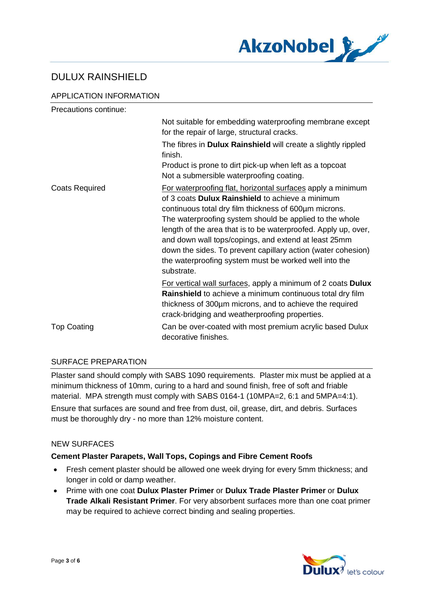

## APPLICATION INFORMATION

| Precautions continue: |                                                                                                                                                                                                                                                                                                                                                                                                                                                                                                             |
|-----------------------|-------------------------------------------------------------------------------------------------------------------------------------------------------------------------------------------------------------------------------------------------------------------------------------------------------------------------------------------------------------------------------------------------------------------------------------------------------------------------------------------------------------|
|                       | Not suitable for embedding waterproofing membrane except<br>for the repair of large, structural cracks.                                                                                                                                                                                                                                                                                                                                                                                                     |
|                       | The fibres in Dulux Rainshield will create a slightly rippled<br>finish.                                                                                                                                                                                                                                                                                                                                                                                                                                    |
|                       | Product is prone to dirt pick-up when left as a topcoat<br>Not a submersible waterproofing coating.                                                                                                                                                                                                                                                                                                                                                                                                         |
| <b>Coats Required</b> | For waterproofing flat, horizontal surfaces apply a minimum<br>of 3 coats <b>Dulux Rainshield</b> to achieve a minimum<br>continuous total dry film thickness of 600um microns.<br>The waterproofing system should be applied to the whole<br>length of the area that is to be waterproofed. Apply up, over,<br>and down wall tops/copings, and extend at least 25mm<br>down the sides. To prevent capillary action (water cohesion)<br>the waterproofing system must be worked well into the<br>substrate. |
|                       | For vertical wall surfaces, apply a minimum of 2 coats Dulux<br>Rainshield to achieve a minimum continuous total dry film<br>thickness of 300um microns, and to achieve the required<br>crack-bridging and weatherproofing properties.                                                                                                                                                                                                                                                                      |
| <b>Top Coating</b>    | Can be over-coated with most premium acrylic based Dulux<br>decorative finishes.                                                                                                                                                                                                                                                                                                                                                                                                                            |

#### SURFACE PREPARATION

Plaster sand should comply with SABS 1090 requirements. Plaster mix must be applied at a minimum thickness of 10mm, curing to a hard and sound finish, free of soft and friable material. MPA strength must comply with SABS 0164-1 (10MPA=2, 6:1 and 5MPA=4:1). Ensure that surfaces are sound and free from dust, oil, grease, dirt, and debris. Surfaces must be thoroughly dry - no more than 12% moisture content.

#### NEW SURFACES

#### **Cement Plaster Parapets, Wall Tops, Copings and Fibre Cement Roofs**

- · Fresh cement plaster should be allowed one week drying for every 5mm thickness; and longer in cold or damp weather.
- · Prime with one coat **Dulux Plaster Primer** or **Dulux Trade Plaster Primer** or **Dulux Trade Alkali Resistant Primer**. For very absorbent surfaces more than one coat primer may be required to achieve correct binding and sealing properties.

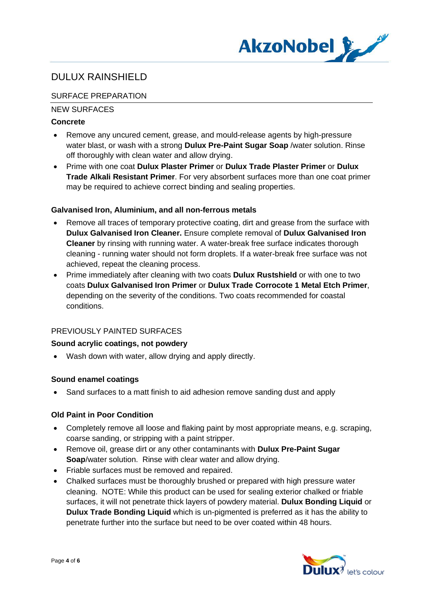

# SURFACE PREPARATION

## NEW SURFACES

## **Concrete**

- · Remove any uncured cement, grease, and mould-release agents by high-pressure water blast, or wash with a strong **Dulux Pre-Paint Sugar Soap** /water solution. Rinse off thoroughly with clean water and allow drying.
- · Prime with one coat **Dulux Plaster Primer** or **Dulux Trade Plaster Primer** or **Dulux Trade Alkali Resistant Primer**. For very absorbent surfaces more than one coat primer may be required to achieve correct binding and sealing properties.

## **Galvanised Iron, Aluminium, and all non-ferrous metals**

- Remove all traces of temporary protective coating, dirt and grease from the surface with **Dulux Galvanised Iron Cleaner.** Ensure complete removal of **Dulux Galvanised Iron Cleaner** by rinsing with running water. A water-break free surface indicates thorough cleaning - running water should not form droplets. If a water-break free surface was not achieved, repeat the cleaning process.
- · Prime immediately after cleaning with two coats **Dulux Rustshield** or with one to two coats **Dulux Galvanised Iron Primer** or **Dulux Trade Corrocote 1 Metal Etch Primer**, depending on the severity of the conditions. Two coats recommended for coastal conditions.

#### PREVIOUSLY PAINTED SURFACES

#### **Sound acrylic coatings, not powdery**

· Wash down with water, allow drying and apply directly.

#### **Sound enamel coatings**

· Sand surfaces to a matt finish to aid adhesion remove sanding dust and apply

#### **Old Paint in Poor Condition**

- · Completely remove all loose and flaking paint by most appropriate means, e.g. scraping, coarse sanding, or stripping with a paint stripper.
- · Remove oil, grease dirt or any other contaminants with **Dulux Pre-Paint Sugar Soap**/water solution. Rinse with clear water and allow drying.
- Friable surfaces must be removed and repaired.
- · Chalked surfaces must be thoroughly brushed or prepared with high pressure water cleaning. NOTE: While this product can be used for sealing exterior chalked or friable surfaces, it will not penetrate thick layers of powdery material. **Dulux Bonding Liquid** or **Dulux Trade Bonding Liquid** which is un-pigmented is preferred as it has the ability to penetrate further into the surface but need to be over coated within 48 hours.

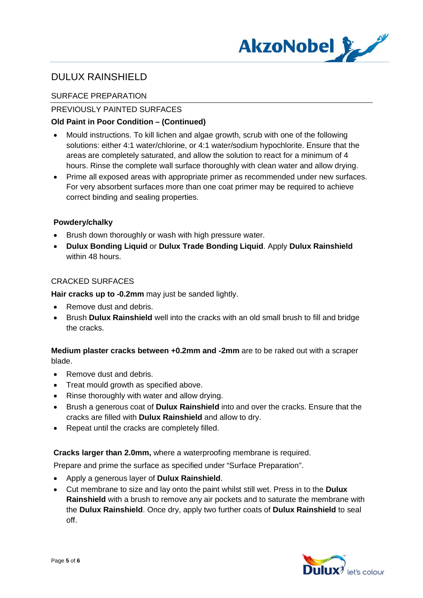

## SURFACE PREPARATION

## PREVIOUSLY PAINTED SURFACES

## **Old Paint in Poor Condition – (Continued)**

- · Mould instructions. To kill lichen and algae growth, scrub with one of the following solutions: either 4:1 water/chlorine, or 4:1 water/sodium hypochlorite. Ensure that the areas are completely saturated, and allow the solution to react for a minimum of 4 hours. Rinse the complete wall surface thoroughly with clean water and allow drying.
- · Prime all exposed areas with appropriate primer as recommended under new surfaces. For very absorbent surfaces more than one coat primer may be required to achieve correct binding and sealing properties.

#### **Powdery/chalky**

- · Brush down thoroughly or wash with high pressure water.
- · **Dulux Bonding Liquid** or **Dulux Trade Bonding Liquid**. Apply **Dulux Rainshield** within 48 hours.

## CRACKED SURFACES

**Hair cracks up to -0.2mm** may just be sanded lightly.

- Remove dust and debris.
- · Brush **Dulux Rainshield** well into the cracks with an old small brush to fill and bridge the cracks.

## **Medium plaster cracks between +0.2mm and -2mm** are to be raked out with a scraper blade.

- Remove dust and debris.
- · Treat mould growth as specified above.
- Rinse thoroughly with water and allow drying.
- · Brush a generous coat of **Dulux Rainshield** into and over the cracks. Ensure that the cracks are filled with **Dulux Rainshield** and allow to dry.
- · Repeat until the cracks are completely filled.

#### **Cracks larger than 2.0mm,** where a waterproofing membrane is required.

Prepare and prime the surface as specified under "Surface Preparation".

- · Apply a generous layer of **Dulux Rainshield**.
- · Cut membrane to size and lay onto the paint whilst still wet. Press in to the **Dulux Rainshield** with a brush to remove any air pockets and to saturate the membrane with the **Dulux Rainshield**. Once dry, apply two further coats of **Dulux Rainshield** to seal off.